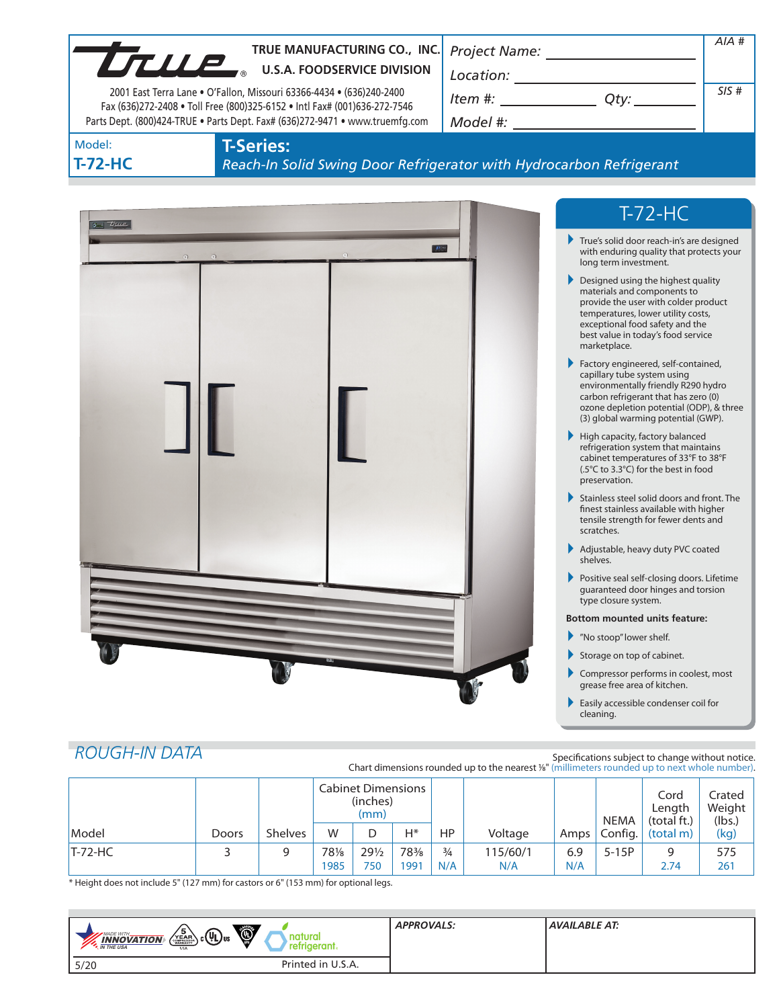|                                                                                                                                                                                                                                   |                  | TRUE MANUFACTURING CO., INC.<br>TRUE MANUFACTURING CO., INC         |                                                                                                                                                                                                                                                                                 | AIA # |
|-----------------------------------------------------------------------------------------------------------------------------------------------------------------------------------------------------------------------------------|------------------|---------------------------------------------------------------------|---------------------------------------------------------------------------------------------------------------------------------------------------------------------------------------------------------------------------------------------------------------------------------|-------|
| 2001 East Terra Lane . O'Fallon, Missouri 63366-4434 . (636)240-2400<br>Fax (636)272-2408 . Toll Free (800)325-6152 . Intl Fax# (001)636-272-7546<br>Parts Dept. (800)424-TRUE . Parts Dept. Fax# (636)272-9471 . www.truemfg.com |                  |                                                                     | $Item #: __________ Qty: __________$                                                                                                                                                                                                                                            | SIS#  |
| Model:<br>$T-72-HC$                                                                                                                                                                                                               | <b>T-Series:</b> | Reach-In Solid Swing Door Refrigerator with Hydrocarbon Refrigerant |                                                                                                                                                                                                                                                                                 |       |
| $\sigma$ $\tau$                                                                                                                                                                                                                   |                  |                                                                     | $T-72-HC$                                                                                                                                                                                                                                                                       |       |
|                                                                                                                                                                                                                                   | $\odot$          |                                                                     | True's solid door reach-in's are designed<br>with enduring quality that protects your<br>long term investment.                                                                                                                                                                  |       |
|                                                                                                                                                                                                                                   |                  |                                                                     | Designed using the highest quality<br>materials and components to<br>provide the user with colder product<br>temperatures, lower utility costs,<br>exceptional food safety and the<br>best value in today's food service<br>marketplace.<br>Factory engineered, self-contained, |       |
|                                                                                                                                                                                                                                   |                  |                                                                     | capillary tube system using<br>environmentally friendly R290 hydro<br>carbon refrigerant that has zero (0)<br>ozone depletion potential (ODP), & three<br>(3) global warming potential (GWP).                                                                                   |       |
|                                                                                                                                                                                                                                   |                  |                                                                     | High capacity, factory balanced<br>refrigeration system that maintains<br>cabinet temperatures of 33°F to 38°F<br>(.5°C to 3.3°C) for the best in food<br>preservation.                                                                                                         |       |
|                                                                                                                                                                                                                                   |                  |                                                                     | Stainless steel solid doors and front. The<br>finest stainless available with higher<br>tensile strength for fewer dents and<br>scratches.                                                                                                                                      |       |
|                                                                                                                                                                                                                                   |                  |                                                                     | Adjustable, heavy duty PVC coated<br>shelves.                                                                                                                                                                                                                                   |       |
|                                                                                                                                                                                                                                   |                  |                                                                     | Positive seal self-closing doors. Lifetime<br>quaranteed door hinges and torsion<br>type closure system.                                                                                                                                                                        |       |
|                                                                                                                                                                                                                                   |                  |                                                                     | <b>Bottom mounted units feature:</b>                                                                                                                                                                                                                                            |       |
|                                                                                                                                                                                                                                   |                  |                                                                     | "No stoop" lower shelf.                                                                                                                                                                                                                                                         |       |
|                                                                                                                                                                                                                                   |                  |                                                                     | Storage on top of cabinet.                                                                                                                                                                                                                                                      |       |
|                                                                                                                                                                                                                                   |                  |                                                                     | Compressor performs in coolest, most<br>grease free area of kitchen.                                                                                                                                                                                                            |       |
|                                                                                                                                                                                                                                   |                  |                                                                     | Easily accessible condenser coil for                                                                                                                                                                                                                                            |       |

|  | <b>ROUGH-IN DATA</b> |
|--|----------------------|
|  |                      |
|  |                      |

Specifications subject to change without notice. Chart dimensions rounded up to the nearest <sup>1</sup>/8" (millimeters rounded up to next whole number).

|               |              |                | <b>Cabinet Dimensions</b><br>(inches)<br>(mm) |                 |      |               | <b>NEMA</b> | Cord<br>Length<br>(total ft.) | Crated<br>Weight<br>(lbs.) |           |      |
|---------------|--------------|----------------|-----------------------------------------------|-----------------|------|---------------|-------------|-------------------------------|----------------------------|-----------|------|
| Model         | <b>Doors</b> | <b>Shelves</b> | W                                             |                 | H*   | HP            | Voltage     | Amps                          | Config.                    | (total m) | (kg) |
| $T - 72 - HC$ |              |                | 781/8                                         | $29\frac{1}{2}$ | 78%  | $\frac{3}{4}$ | 115/60/1    | 6.9                           | $5-15P$                    | a         | 575  |
|               |              |                | 1985                                          | 750             | 1991 | N/A           | N/A         | N/A                           |                            | 2.74      | 261  |

\* Height does not include 5" (127 mm) for castors or 6" (153 mm) for optional legs.

| O<br>$\left(\sqrt{\frac{5}{2}}R_{\text{max}}\right)$ c $(4L)$ us<br>MADE WITH<br><b>INNOVATION</b><br>rgeram.<br><b>M</b> THE USA<br><b>USA</b> | <b>APPROVALS:</b> | <b>AVAILABLE AT:</b> |
|-------------------------------------------------------------------------------------------------------------------------------------------------|-------------------|----------------------|
| Printed in U.S.A.<br>5/20                                                                                                                       |                   |                      |